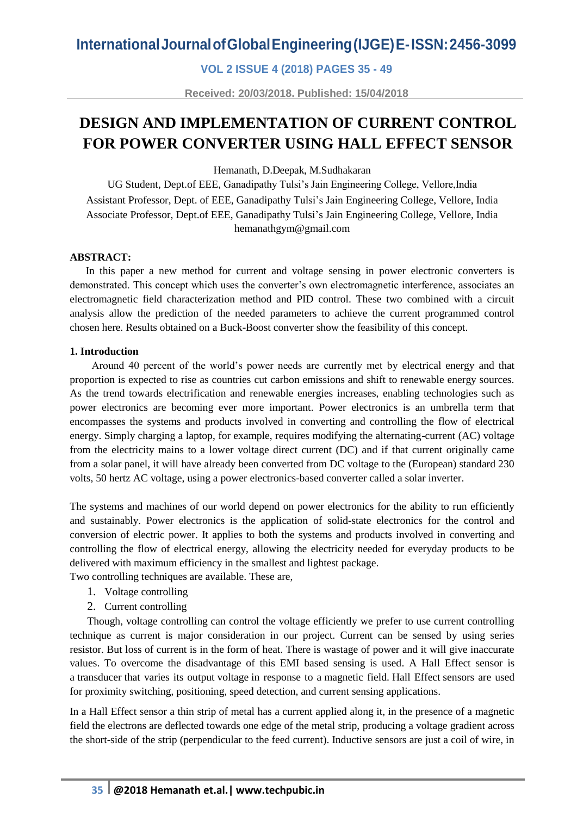**VOL 2 ISSUE 4 (2018) PAGES 35 - 49**

**Received: 20/03/2018. Published: 15/04/2018**

## **DESIGN AND IMPLEMENTATION OF CURRENT CONTROL FOR POWER CONVERTER USING HALL EFFECT SENSOR**

Hemanath, D.Deepak, M.Sudhakaran

UG Student, Dept.of EEE, Ganadipathy Tulsi's Jain Engineering College, Vellore,India Assistant Professor, Dept. of EEE, Ganadipathy Tulsi's Jain Engineering College, Vellore, India Associate Professor, Dept.of EEE, Ganadipathy Tulsi's Jain Engineering College, Vellore, India hemanathgym@gmail.com

### **ABSTRACT:**

 In this paper a new method for current and voltage sensing in power electronic converters is demonstrated. This concept which uses the converter's own electromagnetic interference, associates an electromagnetic field characterization method and PID control. These two combined with a circuit analysis allow the prediction of the needed parameters to achieve the current programmed control chosen here. Results obtained on a Buck-Boost converter show the feasibility of this concept.

#### **1. Introduction**

Around 40 percent of the world's power needs are currently met by electrical energy and that proportion is expected to rise as countries cut carbon emissions and shift to renewable energy sources. As the trend towards electrification and renewable energies increases, enabling technologies such as power electronics are becoming ever more important. Power electronics is an umbrella term that encompasses the systems and products involved in converting and controlling the flow of electrical energy. Simply charging a laptop, for example, requires modifying the alternating-current (AC) voltage from the electricity mains to a lower voltage direct current (DC) and if that current originally came from a solar panel, it will have already been converted from DC voltage to the (European) standard 230 volts, 50 hertz AC voltage, using a power electronics-based converter called a solar inverter.

The systems and machines of our world depend on power electronics for the ability to run efficiently and sustainably. Power electronics is the application of solid-state electronics for the control and conversion of electric power. It applies to both the systems and products involved in converting and controlling the flow of electrical energy, allowing the electricity needed for everyday products to be delivered with maximum efficiency in the smallest and lightest package.

Two controlling techniques are available. These are,

- 1. Voltage controlling
- 2. Current controlling

Though, voltage controlling can control the voltage efficiently we prefer to use current controlling technique as current is major consideration in our project. Current can be sensed by using series resistor. But loss of current is in the form of heat. There is wastage of power and it will give inaccurate values. To overcome the disadvantage of this EMI based sensing is used. A Hall Effect sensor is a [transducer](https://en.wikipedia.org/wiki/Transducer) that varies its output [voltage](https://en.wikipedia.org/wiki/Voltage) in response to a [magnetic field.](https://en.wikipedia.org/wiki/Magnetic_field) [Hall Effect](https://en.wikipedia.org/wiki/Hall_effect) sensors are used for [proximity](https://en.wikipedia.org/wiki/Distance) switching, positioning, speed detection, and current sensing applications.

In a Hall Effect sensor a thin strip of metal has a current applied along it, in the presence of a magnetic field the electrons are deflected towards one edge of the metal strip, producing a voltage gradient across the short-side of the strip (perpendicular to the feed current). Inductive sensors are just a coil of wire, in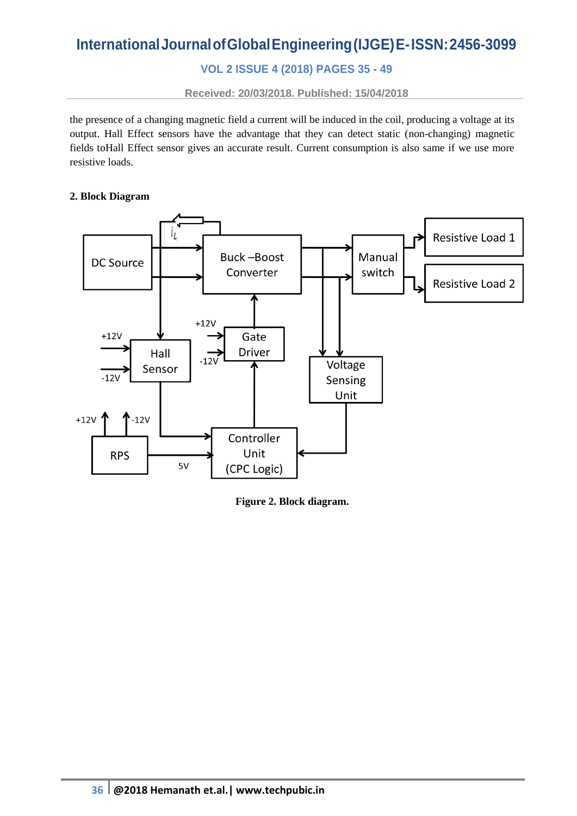## **VOL 2 ISSUE 4 (2018) PAGES 35 - 49**

**Received: 20/03/2018. Published: 15/04/2018**

the presence of a changing magnetic field a current will be induced in the coil, producing a voltage at its output. Hall Effect sensors have the advantage that they can detect static (non-changing) magnetic fields toHall Effect sensor gives an accurate result. Current consumption is also same if we use more resistive loads.

#### **2. Block Diagram**



**Figure 2. Block diagram.**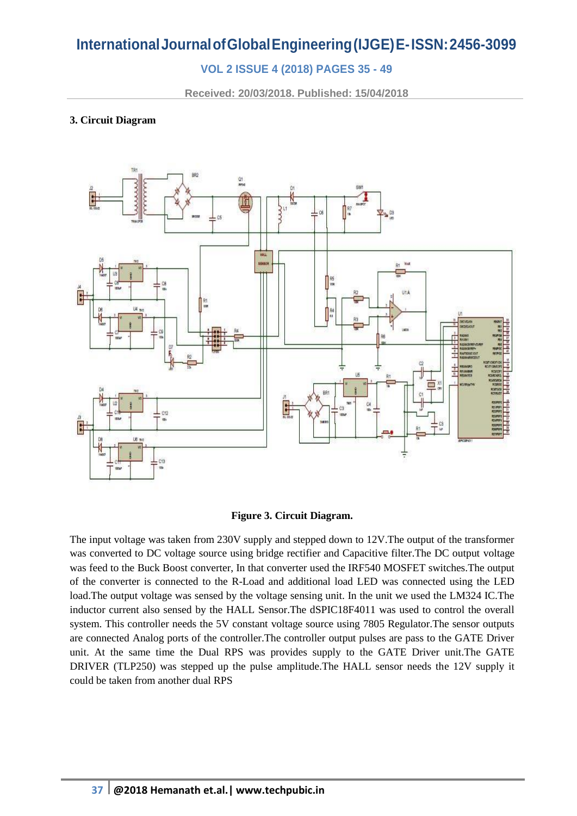## **VOL 2 ISSUE 4 (2018) PAGES 35 - 49**

**Received: 20/03/2018. Published: 15/04/2018**

### **3. Circuit Diagram**



#### **Figure 3. Circuit Diagram.**

The input voltage was taken from 230V supply and stepped down to 12V.The output of the transformer was converted to DC voltage source using bridge rectifier and Capacitive filter.The DC output voltage was feed to the Buck Boost converter, In that converter used the IRF540 MOSFET switches.The output of the converter is connected to the R-Load and additional load LED was connected using the LED load.The output voltage was sensed by the voltage sensing unit. In the unit we used the LM324 IC.The inductor current also sensed by the HALL Sensor.The dSPIC18F4011 was used to control the overall system. This controller needs the 5V constant voltage source using 7805 Regulator.The sensor outputs are connected Analog ports of the controller.The controller output pulses are pass to the GATE Driver unit. At the same time the Dual RPS was provides supply to the GATE Driver unit.The GATE DRIVER (TLP250) was stepped up the pulse amplitude.The HALL sensor needs the 12V supply it could be taken from another dual RPS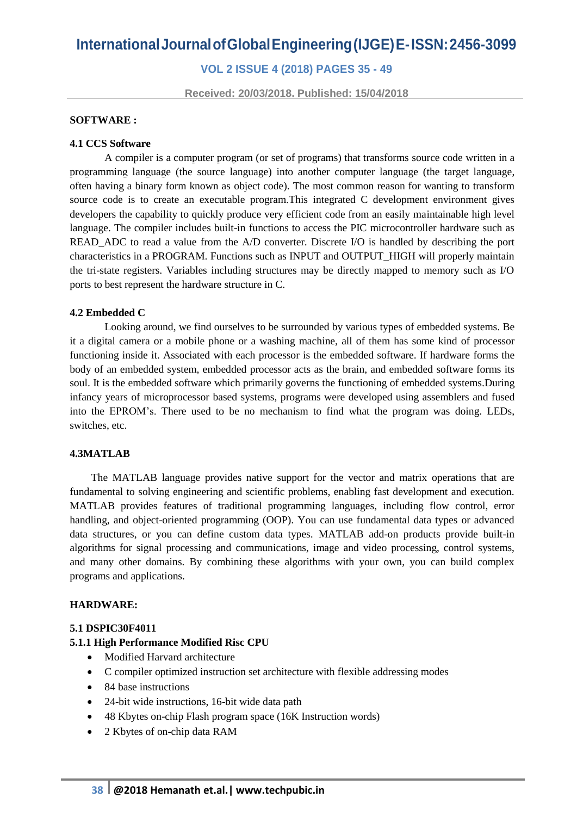**VOL 2 ISSUE 4 (2018) PAGES 35 - 49**

**Received: 20/03/2018. Published: 15/04/2018**

#### **SOFTWARE :**

#### **4.1 CCS Software**

A compiler is a [computer program](http://en.wikipedia.org/wiki/Computer_program) (or set of programs) that transforms [source code](http://en.wikipedia.org/wiki/Source_code) written in a [programming language](http://en.wikipedia.org/wiki/Programming_language) (the source language) into another computer language (the target language, often having a binary form known as [object code\)](http://en.wikipedia.org/wiki/Object_code). The most common reason for wanting to transform source code is to create an [executable](http://en.wikipedia.org/wiki/Executable) program.This integrated C development environment gives developers the capability to quickly produce very efficient code from an easily maintainable high level language. The compiler includes built-in [functions](http://www.warburtech.com/products/compilers/ccs.c.compiler/instruction.set/) to access the PIC microcontroller hardware such as READ\_ADC to read a value from the A/D converter. Discrete I/O is handled by describing the port characteristics in a PROGRAM. Functions such as INPUT and OUTPUT\_HIGH will properly maintain the tri-state registers. Variables including structures may be directly mapped to memory such as I/O ports to best represent the hardware structure in C.

#### **4.2 Embedded C**

Looking around, we find ourselves to be surrounded by various types of [embedded](http://www.engineersgarage.com/articles/embedded-systems) systems. Be it a digital camera or a mobile phone or a washing machine, all of them has some kind of processor functioning inside it. Associated with each processor is the embedded software. If hardware forms the body of an embedded system, embedded processor acts as the brain, and embedded software forms its soul. It is the embedded software which primarily governs the functioning of embedded systems.During infancy years of microprocessor based systems, programs were developed using assemblers and fused into the EPROM's. There used to be no mechanism to find what the program was doing. LEDs, switches, etc.

#### **4.3MATLAB**

 The MATLAB language provides native support for the vector and matrix operations that are fundamental to solving engineering and scientific problems, enabling fast development and execution. MATLAB provides features of traditional programming languages, including flow control, error handling, and object-oriented programming (OOP). You can use fundamental data types or advanced data structures, or you can define custom data types. MATLAB add-on products provide built-in algorithms for signal processing and communications, image and video processing, control systems, and many other domains. By combining these algorithms with your own, you can build complex programs and applications.

#### **HARDWARE:**

#### **5.1 DSPIC30F4011**

#### **5.1.1 High Performance Modified Risc CPU**

- Modified Harvard architecture
- C compiler optimized instruction set architecture with flexible addressing modes
- 84 base instructions
- 24-bit wide instructions, 16-bit wide data path
- 48 Kbytes on-chip Flash program space (16K Instruction words)
- 2 Kbytes of on-chip data RAM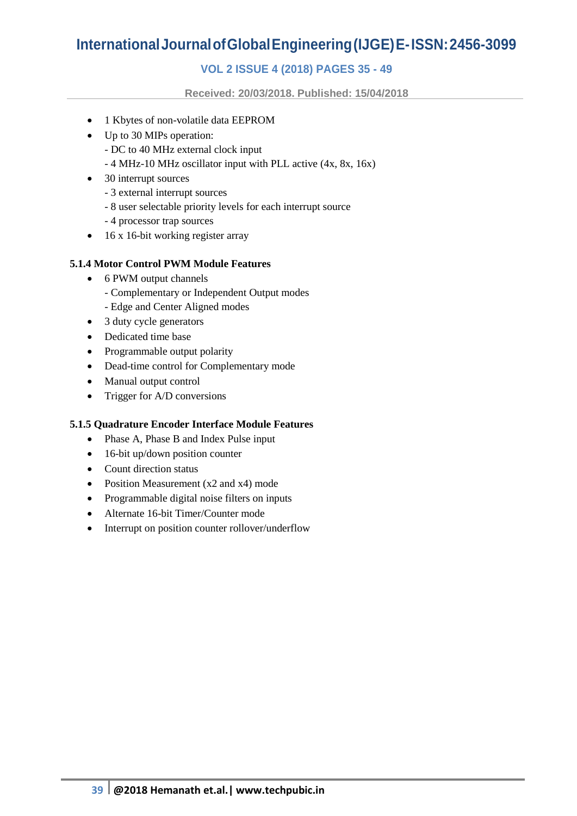## **VOL 2 ISSUE 4 (2018) PAGES 35 - 49**

**Received: 20/03/2018. Published: 15/04/2018**

- 1 Kbytes of non-volatile data EEPROM
- Up to 30 MIPs operation:
	- DC to 40 MHz external clock input
	- 4 MHz-10 MHz oscillator input with PLL active (4x, 8x, 16x)
- 30 interrupt sources
	- 3 external interrupt sources
	- 8 user selectable priority levels for each interrupt source
	- 4 processor trap sources
- $\bullet$  16 x 16-bit working register array

### **5.1.4 Motor Control PWM Module Features**

- 6 PWM output channels
	- Complementary or Independent Output modes
	- Edge and Center Aligned modes
- 3 duty cycle generators
- Dedicated time base
- Programmable output polarity
- Dead-time control for Complementary mode
- Manual output control
- Trigger for A/D conversions

### **5.1.5 Quadrature Encoder Interface Module Features**

- Phase A, Phase B and Index Pulse input
- 16-bit up/down position counter
- Count direction status
- Position Measurement (x2 and x4) mode
- Programmable digital noise filters on inputs
- Alternate 16-bit Timer/Counter mode
- Interrupt on position counter rollover/underflow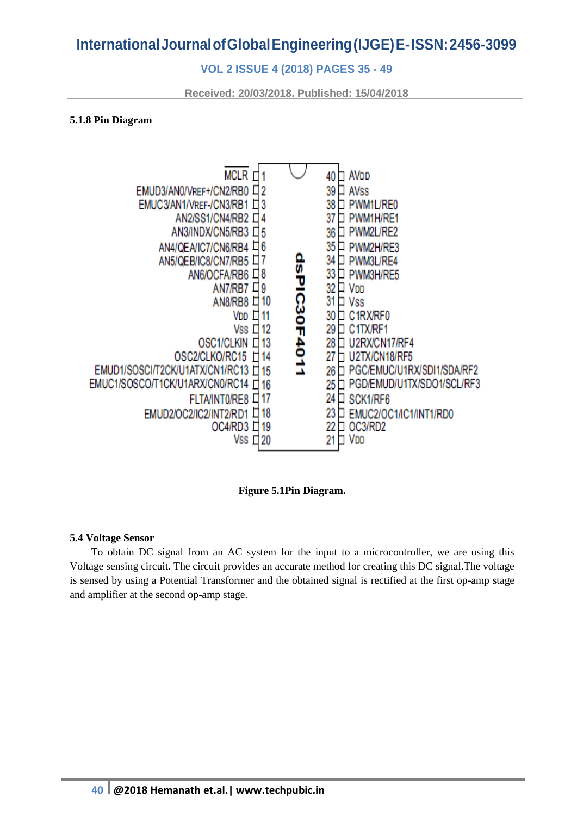### **VOL 2 ISSUE 4 (2018) PAGES 35 - 49**

**Received: 20/03/2018. Published: 15/04/2018**

#### **5.1.8 Pin Diagram**



**Figure 5.1Pin Diagram.**

#### **5.4 Voltage Sensor**

 To obtain DC signal from an AC system for the input to a microcontroller, we are using this Voltage sensing circuit. The circuit provides an accurate method for creating this DC signal.The voltage is sensed by using a Potential Transformer and the obtained signal is rectified at the first op-amp stage and amplifier at the second op-amp stage.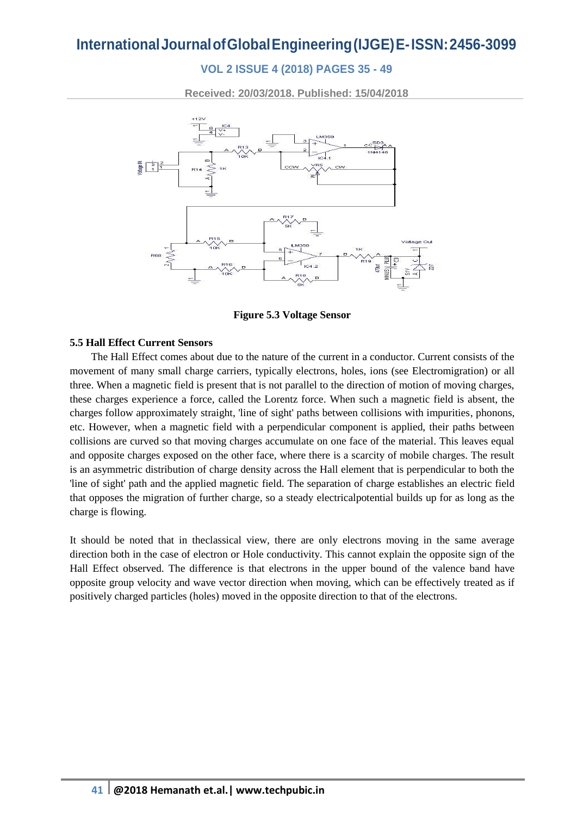## **VOL 2 ISSUE 4 (2018) PAGES 35 - 49**

**Received: 20/03/2018. Published: 15/04/2018**



**Figure 5.3 Voltage Sensor**

### **5.5 Hall Effect Current Sensors**

 The Hall Effect comes about due to the nature of the current in a conductor. Current consists of the movement of many small [charge carriers,](http://en.wikipedia.org/wiki/Charge_carrier) typically [electrons,](http://en.wikipedia.org/wiki/Electron) [holes,](http://en.wikipedia.org/wiki/Electron_hole) [ions](http://en.wikipedia.org/wiki/Ions) (see [Electromigration\)](http://en.wikipedia.org/wiki/Electromigration) or all three. When a magnetic field is present that is not parallel to the direction of motion of moving charges, these charges experience a force, called the [Lorentz force.](http://en.wikipedia.org/wiki/Lorentz_force) When such a magnetic field is absent, the charges follow approximately straight, 'line of sight' paths between collisions with impurities, [phonons,](http://en.wikipedia.org/wiki/Phonons) etc. However, when a magnetic field with a perpendicular component is applied, their paths between collisions are curved so that moving charges accumulate on one face of the material. This leaves equal and opposite charges exposed on the other face, where there is a scarcity of mobile charges. The result is an asymmetric distribution of charge density across the Hall element that is perpendicular to both the 'line of sight' path and the applied magnetic field. The separation of charge establishes an [electric field](http://en.wikipedia.org/wiki/Electric_field) that opposes the migration of further charge, so a steady [electricalpotential](http://en.wikipedia.org/wiki/Electrical_potential) builds up for as long as the charge is flowing.

It should be noted that in th[eclassical](http://en.wikipedia.org/wiki/Classical_physics) view, there are only electrons moving in the same average direction both in the case of electron or Hole conductivity. This cannot explain the opposite sign of the Hall Effect observed. The difference is that electrons in the upper bound of the [valence band](http://en.wikipedia.org/wiki/Valence_band) have opposite [group velocity](http://en.wikipedia.org/wiki/Group_velocity) and [wave vector](http://en.wikipedia.org/wiki/Wave_vector) direction when moving, which can be effectively treated as if positively charged particles (holes) moved in the opposite direction to that of the electrons.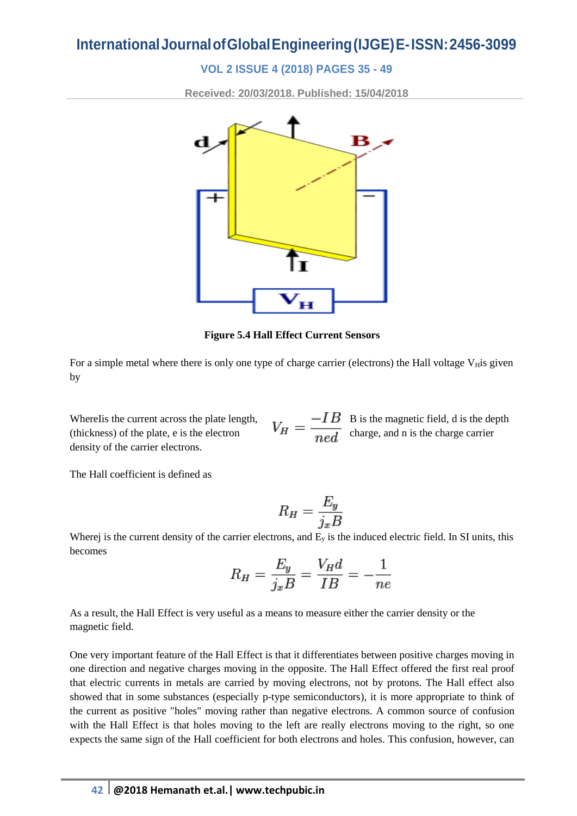### **VOL 2 ISSUE 4 (2018) PAGES 35 - 49**

**Received: 20/03/2018. Published: 15/04/2018**



**Figure 5.4 Hall Effect Current Sensors**

For a simple metal where there is only one type of [charge carrier](http://en.wikipedia.org/wiki/Charge_carrier) (electrons) the Hall voltage V<sub>H</sub>is given by

Where I is the current across the plate length,  $B = -IB$  is the magnetic field, d is the depth (thickness) of the plate, e is the electron  $V_H = \frac{V_H}{m_e d}$  charge, and n is the charge carrier [density](http://en.wikipedia.org/wiki/Charge_carrier_density) of the carrier electrons.

The Hall coefficient is defined as

$$
R_H = \frac{E_y}{j_x B}
$$

Wherej is the [current density](http://en.wikipedia.org/wiki/Current_density) of the carrier electrons, and  $E_y$  is the induced electric field. In SI units, this becomes

$$
R_H = \frac{E_y}{j_x B} = \frac{V_H d}{IB} = -\frac{1}{ne}
$$

As a result, the Hall Effect is very useful as a means to measure either the carrier density or the magnetic field.

One very important feature of the Hall Effect is that it differentiates between positive charges moving in one direction and negative charges moving in the opposite. The Hall Effect offered the first real proof that electric currents in metals are carried by moving electrons, not by protons. The Hall effect also showed that in some substances (especially [p-type semiconductors\)](http://en.wikipedia.org/wiki/P-type_semiconductor), it is more appropriate to think of the current as positive ["holes"](http://en.wikipedia.org/wiki/Electron_hole) moving rather than negative electrons. A common source of confusion with the Hall Effect is that holes moving to the left are really electrons moving to the right, so one expects the same sign of the Hall coefficient for both electrons and holes. This confusion, however, can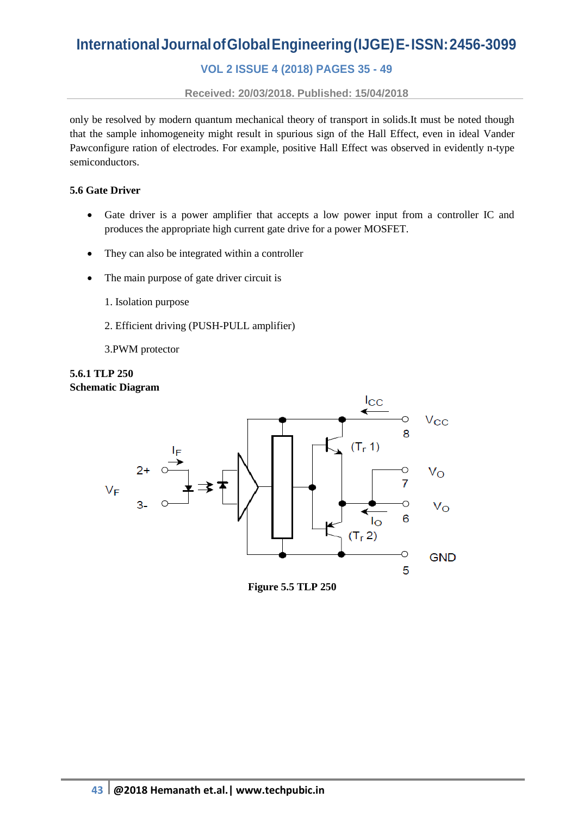## **VOL 2 ISSUE 4 (2018) PAGES 35 - 49**

**Received: 20/03/2018. Published: 15/04/2018**

only be resolved by modern quantum mechanical theory of transport in solids.It must be noted though that the sample inhomogeneity might result in spurious sign of the Hall Effect, even in ideal [Vander](http://en.wikipedia.org/wiki/Van_der_Pauw_method)  [Pawc](http://en.wikipedia.org/wiki/Van_der_Pauw_method)onfigure ration of electrodes. For example, positive Hall Effect was observed in evidently n-type semiconductors.

#### **5.6 Gate Driver**

- Gate driver is a power amplifier that accepts a low power input from a controller IC and produces the appropriate high current gate drive for a power MOSFET.
- They can also be integrated within a controller
- The main purpose of gate driver circuit is
	- 1. Isolation purpose
	- 2. Efficient driving (PUSH-PULL amplifier)
	- 3.PWM protector





**Figure 5.5 TLP 250**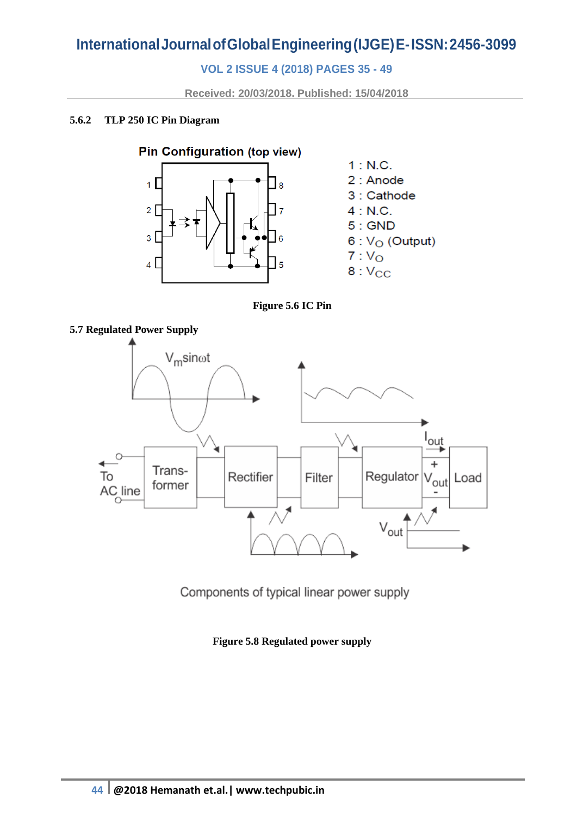## **VOL 2 ISSUE 4 (2018) PAGES 35 - 49**

**Received: 20/03/2018. Published: 15/04/2018**

### **5.6.2 TLP 250 IC Pin Diagram**



**Figure 5.6 IC Pin**



Components of typical linear power supply

**Figure 5.8 Regulated power supply**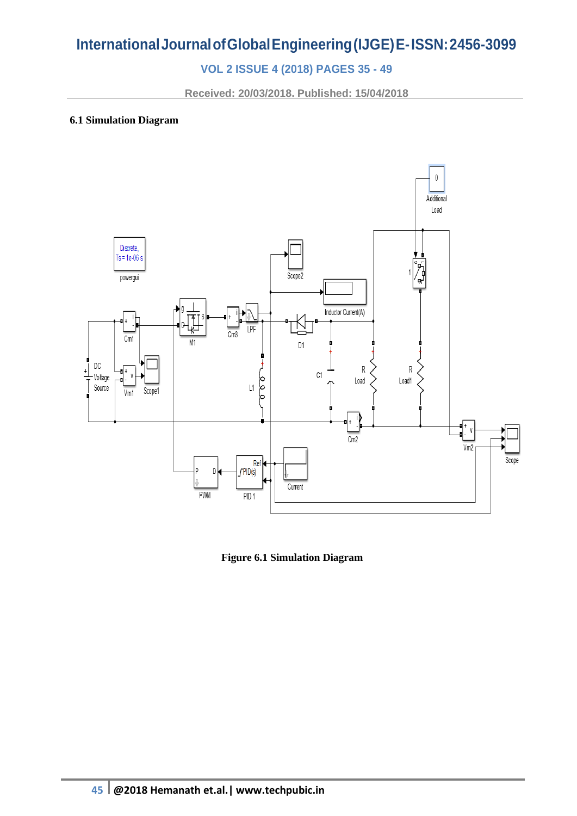## **VOL 2 ISSUE 4 (2018) PAGES 35 - 49**

**Received: 20/03/2018. Published: 15/04/2018**

### **6.1 Simulation Diagram**



**Figure 6.1 Simulation Diagram**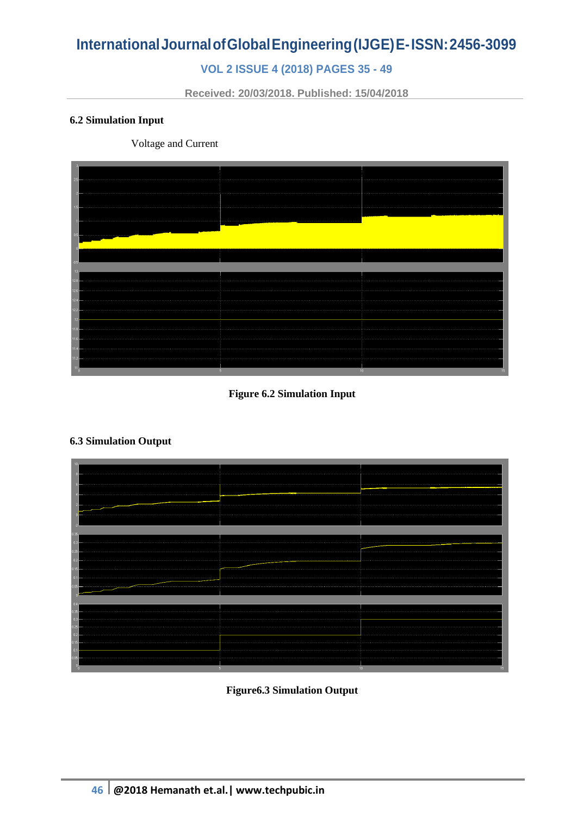## **VOL 2 ISSUE 4 (2018) PAGES 35 - 49**

**Received: 20/03/2018. Published: 15/04/2018**

### **6.2 Simulation Input**

Voltage and Current



### **Figure 6.2 Simulation Input**

### **6.3 Simulation Output**

| .              |    |  |
|----------------|----|--|
|                |    |  |
|                |    |  |
|                |    |  |
|                |    |  |
|                |    |  |
|                |    |  |
|                |    |  |
| 5 <sub>1</sub> | 10 |  |

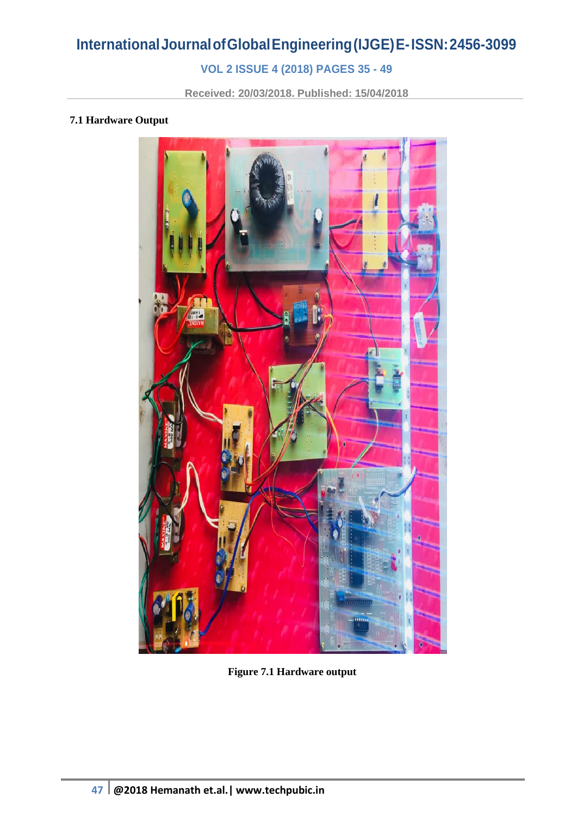## **VOL 2 ISSUE 4 (2018) PAGES 35 - 49**

**Received: 20/03/2018. Published: 15/04/2018**

### **7.1 Hardware Output**



**Figure 7.1 Hardware output**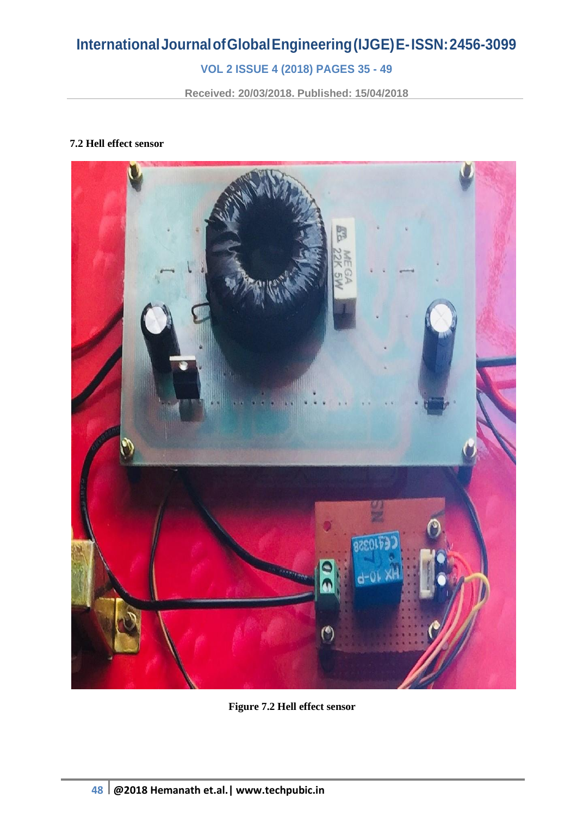## **VOL 2 ISSUE 4 (2018) PAGES 35 - 49**

**Received: 20/03/2018. Published: 15/04/2018**

### **7.2 Hell effect sensor**



**Figure 7.2 Hell effect sensor**